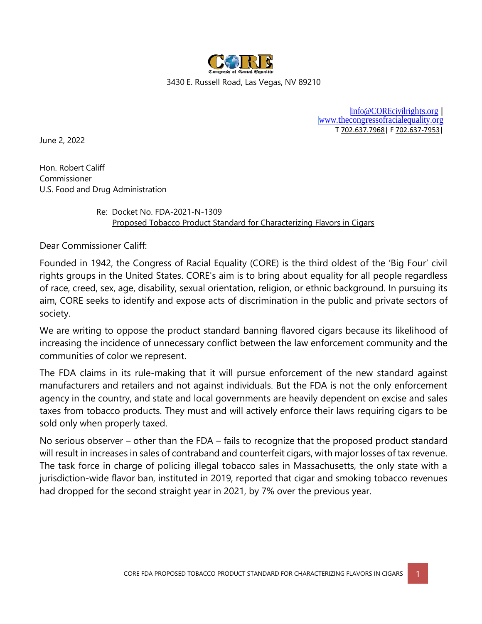

3430 E. Russell Road, Las Vegas, NV 89210

[|info@COREcivilrights.org](mailto:%7Cinfo@COREcivilrights.org) | [|www.thecongressofracialequality.org](http://www.thecongressofracialequality.org/) T 702.637.7968| F 702.637-7953|

June 2, 2022

Hon. Robert Califf Commissioner U.S. Food and Drug Administration

> Re: Docket No. FDA-2021-N-1309 Proposed Tobacco Product Standard for Characterizing Flavors in Cigars

Dear Commissioner Califf:

Founded in 1942, the Congress of Racial Equality (CORE) is the third oldest of the 'Big Four' civil rights groups in the United States. CORE's aim is to bring about equality for all people regardless of race, creed, sex, age, disability, sexual orientation, religion, or ethnic background. In pursuing its aim, CORE seeks to identify and expose acts of discrimination in the public and private sectors of society.

We are writing to oppose the product standard banning flavored cigars because its likelihood of increasing the incidence of unnecessary conflict between the law enforcement community and the communities of color we represent.

The FDA claims in its rule-making that it will pursue enforcement of the new standard against manufacturers and retailers and not against individuals. But the FDA is not the only enforcement agency in the country, and state and local governments are heavily dependent on excise and sales taxes from tobacco products. They must and will actively enforce their laws requiring cigars to be sold only when properly taxed.

No serious observer – other than the FDA – fails to recognize that the proposed product standard will result in increases in sales of contraband and counterfeit cigars, with major losses of tax revenue. The task force in charge of policing illegal tobacco sales in Massachusetts, the only state with a jurisdiction-wide flavor ban, instituted in 2019, reported that cigar and smoking tobacco revenues had dropped for the second straight year in 2021, by 7% over the previous year.